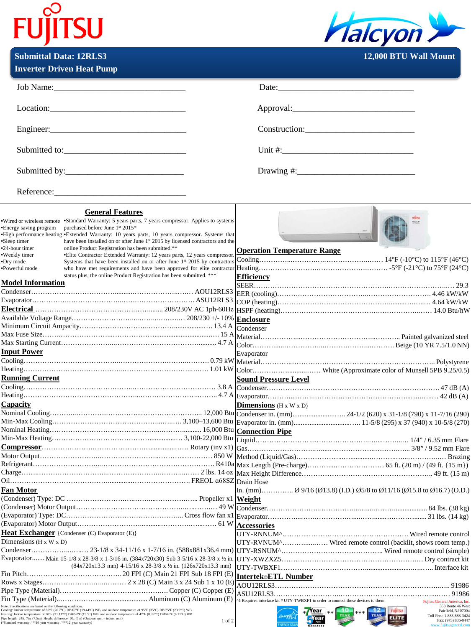| <b>FUIITSU</b>                | <b>Malcyon</b>               |
|-------------------------------|------------------------------|
| <b>Submittal Data: 12RLS3</b> | <b>12,000 BTU Wall Mount</b> |

|  | <b>Inverter Driven Heat Pump</b> |  |
|--|----------------------------------|--|

| Job Name: 1000 Manual Manual Manual Manual Manual Manual Manual Manual Manual Manual Manual Manual Manual Manual Manual Manual Manual Manual Manual Manual Manual Manual Manual Manual Manual Manual Manual Manual Manual Manu                                                                                                                                                                                                                                                                                                                                       | Date:                                                                                                                                                               |
|----------------------------------------------------------------------------------------------------------------------------------------------------------------------------------------------------------------------------------------------------------------------------------------------------------------------------------------------------------------------------------------------------------------------------------------------------------------------------------------------------------------------------------------------------------------------|---------------------------------------------------------------------------------------------------------------------------------------------------------------------|
| $\text{Location:}\n \underline{\hspace{2cm}}\n \underline{\hspace{2cm}}\n \underline{\hspace{2cm}}\n \underline{\hspace{2cm}}\n \underline{\hspace{2cm}}\n \underline{\hspace{2cm}}\n \underline{\hspace{2cm}}\n \underline{\hspace{2cm}}\n \underline{\hspace{2cm}}\n \underline{\hspace{2cm}}\n \underline{\hspace{2cm}}\n \underline{\hspace{2cm}}\n \underline{\hspace{2cm}}\n \underline{\hspace{2cm}}\n \underline{\hspace{2cm}}\n \underline{\hspace{2cm}}\n \underline{\hspace{2cm}}\n \underline{\hspace{2cm}}\n \underline{\hspace{2cm}}\n \underline{\hs$ |                                                                                                                                                                     |
|                                                                                                                                                                                                                                                                                                                                                                                                                                                                                                                                                                      | Construction:                                                                                                                                                       |
| Submitted to:                                                                                                                                                                                                                                                                                                                                                                                                                                                                                                                                                        |                                                                                                                                                                     |
|                                                                                                                                                                                                                                                                                                                                                                                                                                                                                                                                                                      |                                                                                                                                                                     |
| Reference:                                                                                                                                                                                                                                                                                                                                                                                                                                                                                                                                                           |                                                                                                                                                                     |
| <b>General Features</b><br>•Wired or wireless remote •Standard Warranty: 5 years parts, 7 years compressor. Applies to systems<br>*Energy saving program purchased before June 1st 2015*<br>High performance heating •Extended Warranty: 10 years parts, 10 years compressor. Systems that<br>have been installed on or after June 1st 2015 by licensed contractors and the<br>•Sleep timer<br>•24-hour timer<br>online Product Registration has been submitted.**                                                                                                   |                                                                                                                                                                     |
| ·Weekly timer<br>• Elite Contractor Extended Warranty: 12 years parts, 12 years compressor.<br>Systems that have been installed on or after June 1 <sup>st</sup> 2015 by contractors<br>•Dry mode<br>·Powerful mode<br>status plus, the online Product Registration has been submitted. ***                                                                                                                                                                                                                                                                          | <b>Operation Temperature Range</b><br><b>Efficiency</b>                                                                                                             |
| <b>Model Information</b>                                                                                                                                                                                                                                                                                                                                                                                                                                                                                                                                             |                                                                                                                                                                     |
| <b>Input Power</b>                                                                                                                                                                                                                                                                                                                                                                                                                                                                                                                                                   | Evaporator                                                                                                                                                          |
| <b>Running Current</b>                                                                                                                                                                                                                                                                                                                                                                                                                                                                                                                                               | <b>Sound Pressure Level</b>                                                                                                                                         |
| Capacity                                                                                                                                                                                                                                                                                                                                                                                                                                                                                                                                                             | <b>Dimensions</b> (H x W x D)                                                                                                                                       |
|                                                                                                                                                                                                                                                                                                                                                                                                                                                                                                                                                                      |                                                                                                                                                                     |
|                                                                                                                                                                                                                                                                                                                                                                                                                                                                                                                                                                      |                                                                                                                                                                     |
| <b>Fan Motor</b>                                                                                                                                                                                                                                                                                                                                                                                                                                                                                                                                                     | In. (mm) Ø 9/16 (Ø13.8) (I.D.) Ø5/8 to Ø11/16 (Ø15.8 to Ø16.7) (O.D.)                                                                                               |
|                                                                                                                                                                                                                                                                                                                                                                                                                                                                                                                                                                      | <b>Accessories</b>                                                                                                                                                  |
| <b>Heat Exchanger</b> {Condenser (C) Evaporator (E)}<br>Dimensions ( $H \times W \times D$ )<br>Evaporator Main 15-1/8 x 28-3/8 x 1-3/16 in. (384x720x30) Sub 3-5/16 x 28-3/8 x 1/2 in.<br>$(84x720x13.3$ mm) $4-15/16$ x 28-3/8 x $\frac{1}{2}$ in. $(126x720x13.3$ mm)                                                                                                                                                                                                                                                                                             | UTY-RVNUM^ Wired remote control (backlit, shows room temp.)                                                                                                         |
| Note: Specifications are based on the following conditions.                                                                                                                                                                                                                                                                                                                                                                                                                                                                                                          | <b>Intertek</b> ETL Number<br>1 Requires interface kit # UTY-TWBXF1 in order to connect these devices to them.<br>Fujitsu General America, Ind<br>353 Route 46 West |
| . voc. «pesuronomo» are usest un une votownug tontunoms.<br>Cooling: Indoor temperature of 80°F (26.7°C) DB/67°F (19.44°C) WB, and outdoor temperature of 95°F (35°C) DB/75°F (23.9°C) WB.<br>Heating: Indoor temperature of 70°F (<br>Pipe length: 24ft. 7in. (7.5m), Height difference: 0ft. (0m) (Outdoor unit - indoor unit)<br>1 of 2<br><sup>*</sup> Standard warranty / **10 year warranty / ***12 year warranty)                                                                                                                                             | <b>FUJITSU</b><br>Fairfield, NJ 07004<br>Year<br>***  <br>Toll Free: 1-888-888-3424<br><b>ELITE</b><br>Fax: (973) 836-0447                                          |